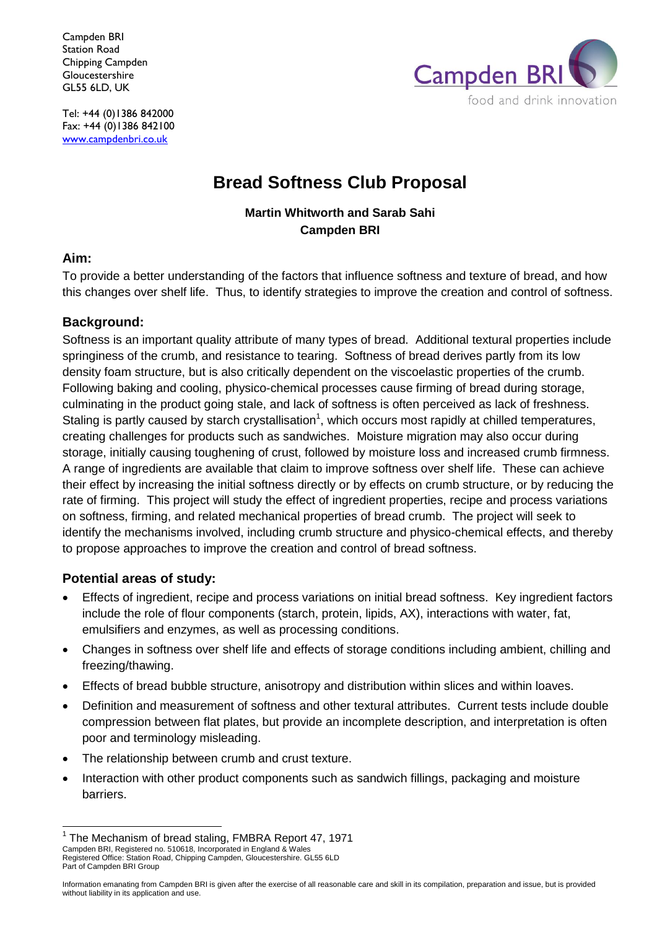Campden BRI Station Road Chipping Campden Gloucestershire GL55 6LD, UK



Tel: +44 (0)1386 842000 Fax: +44 (0)1386 842100 www.campdenbri.co.uk

# **Bread Softness Club Proposal**

### **Martin Whitworth and Sarab Sahi Campden BRI**

### **Aim:**

To provide a better understanding of the factors that influence softness and texture of bread, and how this changes over shelf life. Thus, to identify strategies to improve the creation and control of softness.

### **Background:**

Softness is an important quality attribute of many types of bread. Additional textural properties include springiness of the crumb, and resistance to tearing. Softness of bread derives partly from its low density foam structure, but is also critically dependent on the viscoelastic properties of the crumb. Following baking and cooling, physico-chemical processes cause firming of bread during storage, culminating in the product going stale, and lack of softness is often perceived as lack of freshness. Staling is partly caused by starch crystallisation<sup>1</sup>, which occurs most rapidly at chilled temperatures, creating challenges for products such as sandwiches. Moisture migration may also occur during storage, initially causing toughening of crust, followed by moisture loss and increased crumb firmness. A range of ingredients are available that claim to improve softness over shelf life. These can achieve their effect by increasing the initial softness directly or by effects on crumb structure, or by reducing the rate of firming. This project will study the effect of ingredient properties, recipe and process variations on softness, firming, and related mechanical properties of bread crumb. The project will seek to identify the mechanisms involved, including crumb structure and physico-chemical effects, and thereby to propose approaches to improve the creation and control of bread softness.

### **Potential areas of study:**

- Effects of ingredient, recipe and process variations on initial bread softness. Key ingredient factors include the role of flour components (starch, protein, lipids, AX), interactions with water, fat, emulsifiers and enzymes, as well as processing conditions.
- Changes in softness over shelf life and effects of storage conditions including ambient, chilling and freezing/thawing.
- Effects of bread bubble structure, anisotropy and distribution within slices and within loaves.
- Definition and measurement of softness and other textural attributes. Current tests include double compression between flat plates, but provide an incomplete description, and interpretation is often poor and terminology misleading.
- The relationship between crumb and crust texture.
- Interaction with other product components such as sandwich fillings, packaging and moisture barriers.

Campden BRI, Registered no. 510618, Incorporated in England & Wales Registered Office: Station Road, Chipping Campden, Gloucestershire. GL55 6LD Part of Campden BRI Group  $\overline{1}$ 1 The Mechanism of bread staling, FMBRA Report 47, 1971

Information emanating from Campden BRI is given after the exercise of all reasonable care and skill in its compilation, preparation and issue, but is provided without liability in its application and use.